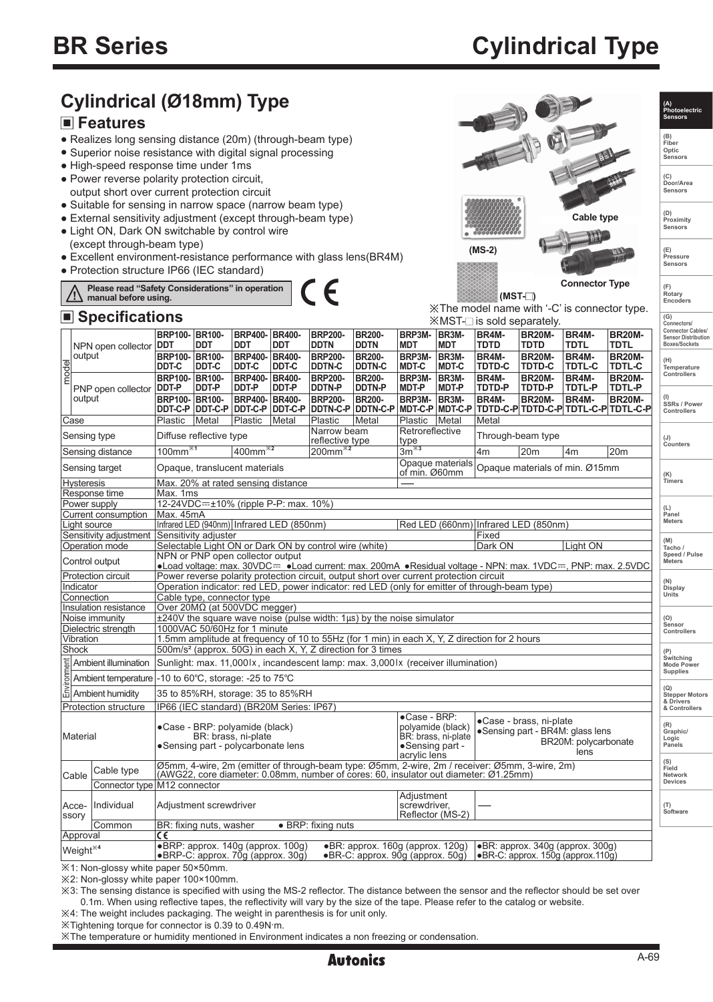# **Cylindrical Type**

|                                                                                                                                                                                                                                                                                                             | Cylindrical (Ø18mm) Type<br><b>■ Features</b><br>• Realizes long sensing distance (20m) (through-beam type)<br>• Superior noise resistance with digital signal processing<br>• High-speed response time under 1ms<br>• Power reverse polarity protection circuit,<br>output short over current protection circuit |                                                                                                                                                                                           |                                                     |                                                    |                                                  |                                                             |                                                                                      |                                                                                                  |                                                                                        |                                    |                                                                                                            | A TEL                                            |                                                                         | (A)<br>Photoelectric<br><b>Sensors</b><br>(B)<br>Fiber<br>Optic<br>Sensors<br>(C)<br>Door/Area<br>Sensors |
|-------------------------------------------------------------------------------------------------------------------------------------------------------------------------------------------------------------------------------------------------------------------------------------------------------------|-------------------------------------------------------------------------------------------------------------------------------------------------------------------------------------------------------------------------------------------------------------------------------------------------------------------|-------------------------------------------------------------------------------------------------------------------------------------------------------------------------------------------|-----------------------------------------------------|----------------------------------------------------|--------------------------------------------------|-------------------------------------------------------------|--------------------------------------------------------------------------------------|--------------------------------------------------------------------------------------------------|----------------------------------------------------------------------------------------|------------------------------------|------------------------------------------------------------------------------------------------------------|--------------------------------------------------|-------------------------------------------------------------------------|-----------------------------------------------------------------------------------------------------------|
| • Suitable for sensing in narrow space (narrow beam type)<br>• External sensitivity adjustment (except through-beam type)<br>Cable type<br>• Light ON, Dark ON switchable by control wire<br>(except through-beam type)<br>$(MS-2)$<br>• Excellent environment-resistance performance with glass lens(BR4M) |                                                                                                                                                                                                                                                                                                                   |                                                                                                                                                                                           |                                                     |                                                    |                                                  |                                                             |                                                                                      |                                                                                                  | (D)<br>Proximity<br>Sensors<br>(E)<br>Pressure                                         |                                    |                                                                                                            |                                                  |                                                                         |                                                                                                           |
| Sensors<br>• Protection structure IP66 (IEC standard)<br><b>Connector Type</b><br>€<br>Please read "Safety Considerations" in operation<br>(F)<br>Rotary<br>/!\<br>$(MST-$<br>manual before using.                                                                                                          |                                                                                                                                                                                                                                                                                                                   |                                                                                                                                                                                           |                                                     |                                                    |                                                  |                                                             |                                                                                      | Encoders                                                                                         |                                                                                        |                                    |                                                                                                            |                                                  |                                                                         |                                                                                                           |
|                                                                                                                                                                                                                                                                                                             | ■ Specifications                                                                                                                                                                                                                                                                                                  |                                                                                                                                                                                           |                                                     |                                                    |                                                  |                                                             |                                                                                      |                                                                                                  |                                                                                        |                                    | XX The model name with '-C' is connector type.                                                             |                                                  |                                                                         | (G)                                                                                                       |
|                                                                                                                                                                                                                                                                                                             |                                                                                                                                                                                                                                                                                                                   | BRP100-BR100-                                                                                                                                                                             |                                                     | <b>BRP400-</b>                                     | <b>BR400-</b>                                    | <b>BRP200-</b>                                              | <b>BR200-</b>                                                                        | BRP3M-                                                                                           | BR3M-                                                                                  | BR4M-                              | $\mathbb{X}$ MST- $\Box$ is sold separately.<br>BR <sub>20</sub> M-                                        | BR4M-                                            | <b>BR20M-</b>                                                           | Connectors/<br><b>Connector Cables/</b><br><b>Sensor Distribution</b>                                     |
|                                                                                                                                                                                                                                                                                                             | NPN open collector                                                                                                                                                                                                                                                                                                | <b>DDT</b>                                                                                                                                                                                | <b>DDT</b>                                          | <b>DDT</b>                                         | <b>DDT</b>                                       | DDTN                                                        | <b>DDTN</b>                                                                          | <b>MDT</b>                                                                                       | <b>MDT</b>                                                                             | TDTD                               | <b>TDTD</b>                                                                                                | TDTL                                             | TDTL                                                                    | Boxes/Sockets                                                                                             |
| output<br>model                                                                                                                                                                                                                                                                                             | PNP open collector                                                                                                                                                                                                                                                                                                | <b>BRP100-</b><br>DDT-C<br><b>BRP100-</b><br>DDT-P                                                                                                                                        | <b>BR100-</b><br>DDT-C<br>BR100-<br>DDT-P           | <b>BRP400-</b><br>DDT-C<br><b>BRP400-</b><br>DDT-P | <b>BR400-</b><br>DDT-C<br><b>BR400-</b><br>DDT-P | <b>BRP200-</b><br><b>DDTN-C</b><br><b>BRP200-</b><br>DDTN-P | <b>BR200-</b><br><b>DDTN-C</b><br><b>BR200-</b><br><b>DDTN-P</b>                     | BRP3M-<br>MDT-C<br>BRP3M-<br><b>MDT-P</b>                                                        | BR3M-<br>MDT-C<br>BR3M-<br><b>MDT-P</b>                                                | BR4M-<br>TDTD-C<br>BR4M-<br>TDTD-P | <b>BR20M-</b><br><b>TDTD-C</b><br><b>BR20M-</b><br>TDTD-P                                                  | BR4M-<br><b>TDTL-C</b><br>BR4M-<br><b>TDTL-P</b> | <b>BR20M-</b><br><b>TDTL-C</b><br><b>BR20M-</b><br>TDTL-P               | Temperature<br>Controllers                                                                                |
| output                                                                                                                                                                                                                                                                                                      |                                                                                                                                                                                                                                                                                                                   | BRP100-BR100-<br>Plastic                                                                                                                                                                  | DDT-C-P DDT-C-P DDT-C-P DDT-C-P                     | <b>BRP400-</b>                                     | <b>BR400-</b>                                    | <b>BRP200-</b>                                              | <b>BR200-</b><br>DDTN-C-P DDTN-C-P                                                   | BRP3M-<br>Plastic   Metal                                                                        | BR <sub>3M</sub> -                                                                     | BR4M-<br>Metal                     | <b>BR20M-</b>                                                                                              | BR4M-                                            | <b>BR20M-</b><br> MDT-C-P  MDT-C-P  TDTD-C-P TDTD-C-P TDTL-C-P TDTL-C-P | SSRs / Power<br>Controllers                                                                               |
| Case                                                                                                                                                                                                                                                                                                        |                                                                                                                                                                                                                                                                                                                   | Metal<br>Plastic<br>Metal<br>Plastic<br>Metal<br>Narrow beam                                                                                                                              |                                                     |                                                    |                                                  |                                                             |                                                                                      |                                                                                                  | Retroreflective                                                                        |                                    |                                                                                                            |                                                  |                                                                         |                                                                                                           |
| Sensing type<br>Sensing distance                                                                                                                                                                                                                                                                            |                                                                                                                                                                                                                                                                                                                   | Diffuse reflective type<br>reflective type<br>$ 400$ mm $*$<br>$200$ mm <sup><math>*2</math></sup><br>$100$ mm $*1$                                                                       |                                                     |                                                    |                                                  |                                                             |                                                                                      |                                                                                                  | Through-beam type<br>type<br>$\overline{3m}^{3}$<br>20m<br>4m<br>4 <sub>m</sub><br>20m |                                    |                                                                                                            |                                                  | (J)<br>Counters                                                         |                                                                                                           |
|                                                                                                                                                                                                                                                                                                             |                                                                                                                                                                                                                                                                                                                   |                                                                                                                                                                                           |                                                     |                                                    |                                                  |                                                             |                                                                                      |                                                                                                  | Opaque materials                                                                       |                                    |                                                                                                            |                                                  |                                                                         |                                                                                                           |
| Sensing target<br><b>Hysteresis</b>                                                                                                                                                                                                                                                                         |                                                                                                                                                                                                                                                                                                                   | Opaque, translucent materials<br>Max. 20% at rated sensing distance                                                                                                                       |                                                     |                                                    |                                                  |                                                             |                                                                                      |                                                                                                  | Opaque materials of min. Ø15mm<br>of min. Ø60mm                                        |                                    |                                                                                                            |                                                  |                                                                         | (K)<br>Timers                                                                                             |
|                                                                                                                                                                                                                                                                                                             | Response time                                                                                                                                                                                                                                                                                                     | Max. 1ms                                                                                                                                                                                  |                                                     |                                                    |                                                  |                                                             |                                                                                      |                                                                                                  |                                                                                        |                                    |                                                                                                            |                                                  |                                                                         |                                                                                                           |
| Power supply                                                                                                                                                                                                                                                                                                |                                                                                                                                                                                                                                                                                                                   | 12-24VDC= $\pm$ 10% (ripple P-P: max. 10%)                                                                                                                                                |                                                     |                                                    |                                                  |                                                             |                                                                                      |                                                                                                  |                                                                                        |                                    |                                                                                                            |                                                  |                                                                         | (L)<br>Panel                                                                                              |
| Current consumption<br>Light source                                                                                                                                                                                                                                                                         |                                                                                                                                                                                                                                                                                                                   | Max. 45mA<br>Infrared LED (940nm) Infrared LED (850nm)<br>Red LED (660nm) Infrared LED (850nm)                                                                                            |                                                     |                                                    |                                                  |                                                             |                                                                                      |                                                                                                  |                                                                                        |                                    |                                                                                                            |                                                  |                                                                         |                                                                                                           |
|                                                                                                                                                                                                                                                                                                             | Sensitivity adjustment Sensitivity adjuster                                                                                                                                                                                                                                                                       |                                                                                                                                                                                           |                                                     |                                                    |                                                  | Selectable Light ON or Dark ON by control wire (white)      |                                                                                      |                                                                                                  |                                                                                        | Fixed<br>Dark ON                   |                                                                                                            | Light ON                                         |                                                                         | (M)                                                                                                       |
|                                                                                                                                                                                                                                                                                                             | Operation mode<br>Control output                                                                                                                                                                                                                                                                                  |                                                                                                                                                                                           | NPN or PNP open collector output                    |                                                    |                                                  |                                                             |                                                                                      |                                                                                                  |                                                                                        |                                    |                                                                                                            |                                                  |                                                                         | Tacho /<br>Speed / Pulse<br><b>Meters</b>                                                                 |
|                                                                                                                                                                                                                                                                                                             |                                                                                                                                                                                                                                                                                                                   |                                                                                                                                                                                           |                                                     |                                                    |                                                  |                                                             |                                                                                      |                                                                                                  |                                                                                        |                                    | •Load voltage: max. 30VDC= •Load current: max. 200mA •Residual voltage - NPN: max. 1VDC=, PNP: max. 2.5VDC |                                                  |                                                                         |                                                                                                           |
| <b>Protection circuit</b><br>Indicator                                                                                                                                                                                                                                                                      |                                                                                                                                                                                                                                                                                                                   | Power reverse polarity protection circuit, output short over current protection circuit<br>Operation indicator: red LED, power indicator: red LED (only for emitter of through-beam type) |                                                     |                                                    |                                                  |                                                             |                                                                                      |                                                                                                  |                                                                                        |                                    |                                                                                                            |                                                  |                                                                         |                                                                                                           |
| Connection                                                                                                                                                                                                                                                                                                  |                                                                                                                                                                                                                                                                                                                   | Cable type, connector type                                                                                                                                                                |                                                     |                                                    |                                                  |                                                             |                                                                                      |                                                                                                  |                                                                                        |                                    |                                                                                                            |                                                  |                                                                         |                                                                                                           |
| Insulation resistance<br>Noise immunity                                                                                                                                                                                                                                                                     |                                                                                                                                                                                                                                                                                                                   | Over 20Μ $Ω$ (at 500VDC megger)<br>$\pm 240V$ the square wave noise (pulse width: 1 $\mu s$ ) by the noise simulator                                                                      |                                                     |                                                    |                                                  |                                                             |                                                                                      |                                                                                                  |                                                                                        |                                    |                                                                                                            |                                                  |                                                                         |                                                                                                           |
| Dielectric strength                                                                                                                                                                                                                                                                                         |                                                                                                                                                                                                                                                                                                                   |                                                                                                                                                                                           | 1000VAC 50/60Hz for 1 minute                        |                                                    |                                                  |                                                             |                                                                                      |                                                                                                  |                                                                                        |                                    |                                                                                                            |                                                  |                                                                         | Sensor<br>Controllers                                                                                     |
| 1.5mm amplitude at frequency of 10 to 55Hz (for 1 min) in each X, Y, Z direction for 2 hours<br>Vibration<br>500m/s <sup>2</sup> (approx. 50G) in each X, Y, Z direction for 3 times<br>Shock                                                                                                               |                                                                                                                                                                                                                                                                                                                   |                                                                                                                                                                                           |                                                     |                                                    |                                                  |                                                             | (P)                                                                                  |                                                                                                  |                                                                                        |                                    |                                                                                                            |                                                  |                                                                         |                                                                                                           |
| ment<br>Ambient illumination<br>Sunlight: max. 11,000lx, incandescent lamp: max. 3,000lx (receiver illumination)                                                                                                                                                                                            |                                                                                                                                                                                                                                                                                                                   |                                                                                                                                                                                           |                                                     |                                                    |                                                  |                                                             |                                                                                      | Switching<br><b>Mode Power</b><br><b>Supplies</b>                                                |                                                                                        |                                    |                                                                                                            |                                                  |                                                                         |                                                                                                           |
| Ambient temperature $\vert$ -10 to 60 $\degree$ C, storage: -25 to 75 $\degree$ C                                                                                                                                                                                                                           |                                                                                                                                                                                                                                                                                                                   |                                                                                                                                                                                           |                                                     |                                                    |                                                  |                                                             |                                                                                      |                                                                                                  |                                                                                        |                                    |                                                                                                            |                                                  |                                                                         |                                                                                                           |
| 品 Ambient humidity                                                                                                                                                                                                                                                                                          |                                                                                                                                                                                                                                                                                                                   |                                                                                                                                                                                           | 35 to 85%RH, storage: 35 to 85%RH                   |                                                    |                                                  |                                                             |                                                                                      |                                                                                                  |                                                                                        |                                    |                                                                                                            |                                                  |                                                                         | (Q)<br><b>Stepper Motors</b><br>& Drivers                                                                 |
| Protection structure                                                                                                                                                                                                                                                                                        |                                                                                                                                                                                                                                                                                                                   |                                                                                                                                                                                           | IP66 (IEC standard) (BR20M Series: IP67)            |                                                    |                                                  |                                                             |                                                                                      |                                                                                                  |                                                                                        |                                    |                                                                                                            |                                                  |                                                                         | & Controllers                                                                                             |
| Material                                                                                                                                                                                                                                                                                                    |                                                                                                                                                                                                                                                                                                                   |                                                                                                                                                                                           | ·Case - BRP: polyamide (black)                      |                                                    |                                                  |                                                             |                                                                                      | ·Case - BRP:<br>·Case - brass, ni-plate<br>polyamide (black)<br>•Sensing part - BR4M: glass lens |                                                                                        |                                    |                                                                                                            |                                                  | (R)<br>Graphic/                                                         |                                                                                                           |
|                                                                                                                                                                                                                                                                                                             |                                                                                                                                                                                                                                                                                                                   |                                                                                                                                                                                           | •Sensing part - polycarbonate lens                  | BR: brass, ni-plate                                |                                                  |                                                             |                                                                                      | BR: brass, ni-plate<br>BR20M: polycarbonate<br>• Sensing part -<br>lens<br>acrylic lens          |                                                                                        |                                    |                                                                                                            | Logic<br>Panels                                  |                                                                         |                                                                                                           |
| Cable type<br>Cable                                                                                                                                                                                                                                                                                         |                                                                                                                                                                                                                                                                                                                   |                                                                                                                                                                                           |                                                     |                                                    |                                                  |                                                             | (AWG22, core diameter: 0.08mm, number of cores: 60, insulator out diameter: Ø1.25mm) |                                                                                                  |                                                                                        |                                    | Ø5mm, 4-wire, 2m (emitter of through-beam type: Ø5mm, 2-wire, 2m / receiver: Ø5mm, 3-wire, 2m)             |                                                  |                                                                         | (S)<br>Field<br>Network                                                                                   |
|                                                                                                                                                                                                                                                                                                             | Connector type M12 connector                                                                                                                                                                                                                                                                                      |                                                                                                                                                                                           |                                                     |                                                    |                                                  |                                                             |                                                                                      |                                                                                                  |                                                                                        |                                    |                                                                                                            |                                                  |                                                                         | Devices                                                                                                   |
| Acce-<br>ssory                                                                                                                                                                                                                                                                                              | <b>Adjustment</b><br>Individual<br>Adjustment screwdriver<br>screwdriver,<br>Reflector (MS-2)                                                                                                                                                                                                                     |                                                                                                                                                                                           |                                                     |                                                    |                                                  |                                                             | (T)<br>Software                                                                      |                                                                                                  |                                                                                        |                                    |                                                                                                            |                                                  |                                                                         |                                                                                                           |
|                                                                                                                                                                                                                                                                                                             | Common                                                                                                                                                                                                                                                                                                            |                                                                                                                                                                                           | • BRP: fixing nuts<br>BR: fixing nuts, washer<br>C€ |                                                    |                                                  |                                                             |                                                                                      |                                                                                                  |                                                                                        |                                    |                                                                                                            |                                                  |                                                                         |                                                                                                           |
| Approval<br>Weight $^{*4}$                                                                                                                                                                                                                                                                                  |                                                                                                                                                                                                                                                                                                                   |                                                                                                                                                                                           | ·BRP: approx. 140g (approx. 100g)                   |                                                    |                                                  |                                                             | •BR: approx. 160g (approx. 120g)                                                     |                                                                                                  |                                                                                        |                                    | ·BR: approx. 340g (approx. 300g)                                                                           |                                                  |                                                                         |                                                                                                           |
|                                                                                                                                                                                                                                                                                                             |                                                                                                                                                                                                                                                                                                                   |                                                                                                                                                                                           | •BRP-C: approx. 70g (approx. 30g)                   |                                                    |                                                  |                                                             | $\bullet$ BR-C: approx. $90q$ (approx. $50q$ )                                       |                                                                                                  |                                                                                        |                                    | • BR-C: approx. 150g (approx. 110g)                                                                        |                                                  |                                                                         |                                                                                                           |

※1: Non-glossy white paper 50×50mm.

※2: Non-glossy white paper 100×100mm.

※3: The sensing distance is specified with using the MS-2 reflector. The distance between the sensor and the reflector should be set over 0.1m. When using reflective tapes, the reflectivity will vary by the size of the tape. Please refer to the catalog or website.

※4: The weight includes packaging. The weight in parenthesis is for unit only.

※Tightening torque for connector is 0.39 to 0.49N. m.

※The temperature or humidity mentioned in Environment indicates a non freezing or condensation.

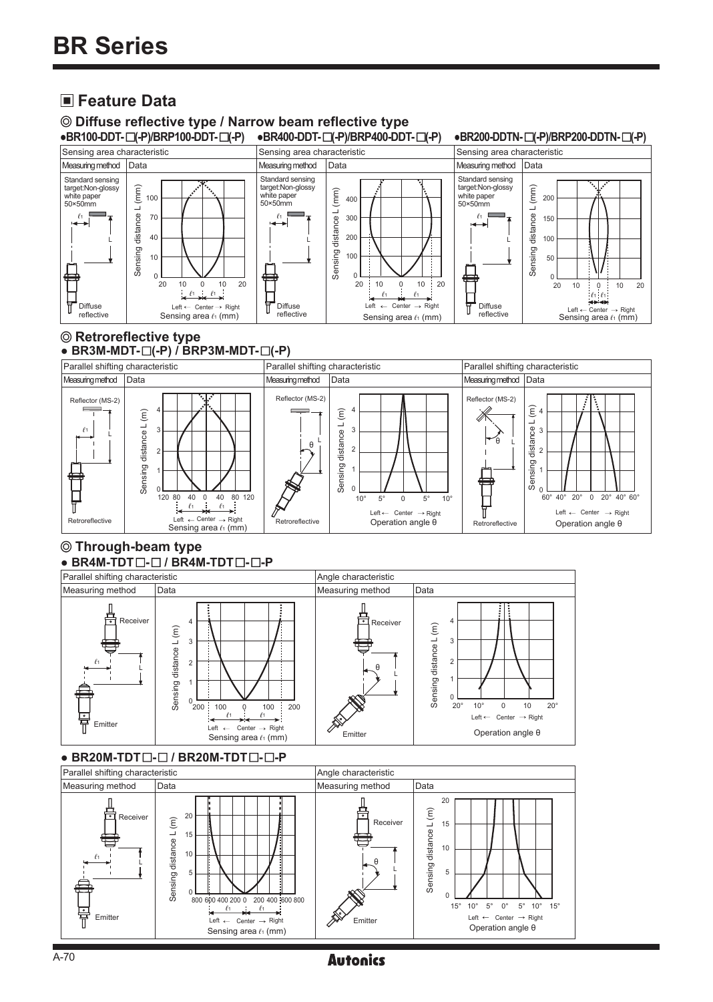## **Feature Data**

© Diffuse reflective type / Narrow beam reflective type<br>•BR100-DDT-□(-P)/BRP100-DDT-□(-P) •BR400-DDT-□(-P)/BRP400-DDT-□(-P)



### **Retroreflective type**

● BR3M-MDT- $□(-P)$  / BRP3M-MDT- $□(-P)$ 



#### ● BR4M-TDT  $\Box$  - **BR4M-TDT**  $\Box$ **-P Through-beam type**



### ● BR20M-TDT□-□ / BR20M-TDT□-□-P

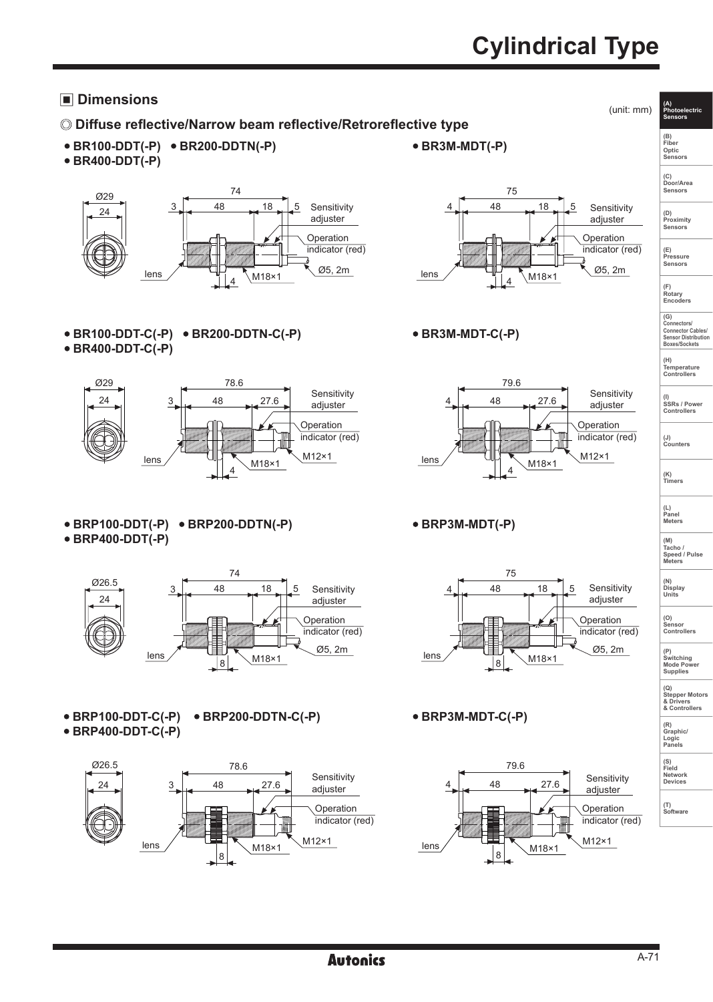# **Cylindrical Type**

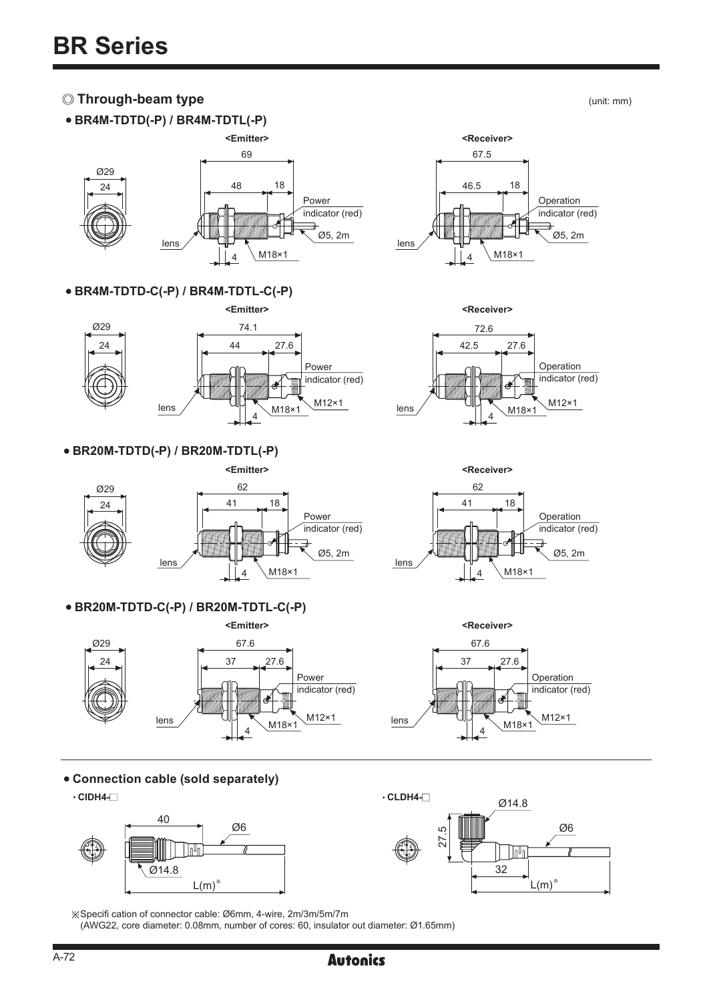### *C* **Through-beam type (unit: mm)**  $($ unit: mm)

**BR4M-TDTD(-P) / BR4M-TDTL(-P)**





### M18×1 67.5 46.5 18 4 lens Operation indicator (red) Ø5, 2m

**BR4M-TDTD-C(-P) / BR4M-TDTL-C(-P)** 









### **BR20M-TDTD-C(-P) / BR20M-TDTL-C(-P)**





**Connection cable (sold separately)**



※Specifi cation of connector cable: Ø6mm, 4-wire, 2m/3m/5m/7m

(AWG22, core diameter: 0.08mm, number of cores: 60, insulator out diameter: Ø1.65mm)



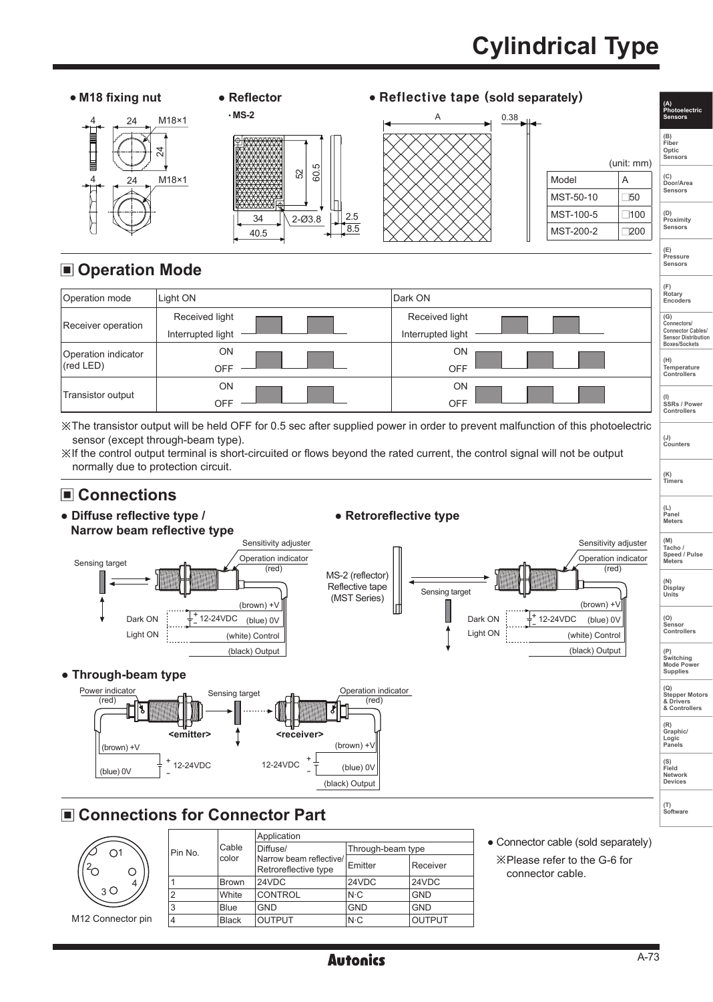# **Cylindrical Type**



M12 Connector pin

 $\subset$ 

4

3

|                | Cable        |                                                 |                   |               |  |  |  |  |
|----------------|--------------|-------------------------------------------------|-------------------|---------------|--|--|--|--|
| Pin No.        |              | Diffuse/                                        | Through-beam type |               |  |  |  |  |
|                | color        | Narrow beam reflective/<br>Retroreflective type | Emitter           | Receiver      |  |  |  |  |
| 1              | <b>Brown</b> | 24VDC                                           | 24VDC             | 24VDC         |  |  |  |  |
| $\overline{2}$ | White        | <b>CONTROL</b>                                  | $N-C$             | <b>GND</b>    |  |  |  |  |
| 3              | <b>Blue</b>  | <b>GND</b>                                      | <b>GND</b>        | <b>GND</b>    |  |  |  |  |
| 4              | <b>Black</b> | <b>OUTPUT</b>                                   | $N \cdot C$       | <b>OUTPUT</b> |  |  |  |  |
|                |              |                                                 |                   |               |  |  |  |  |

**Autonics**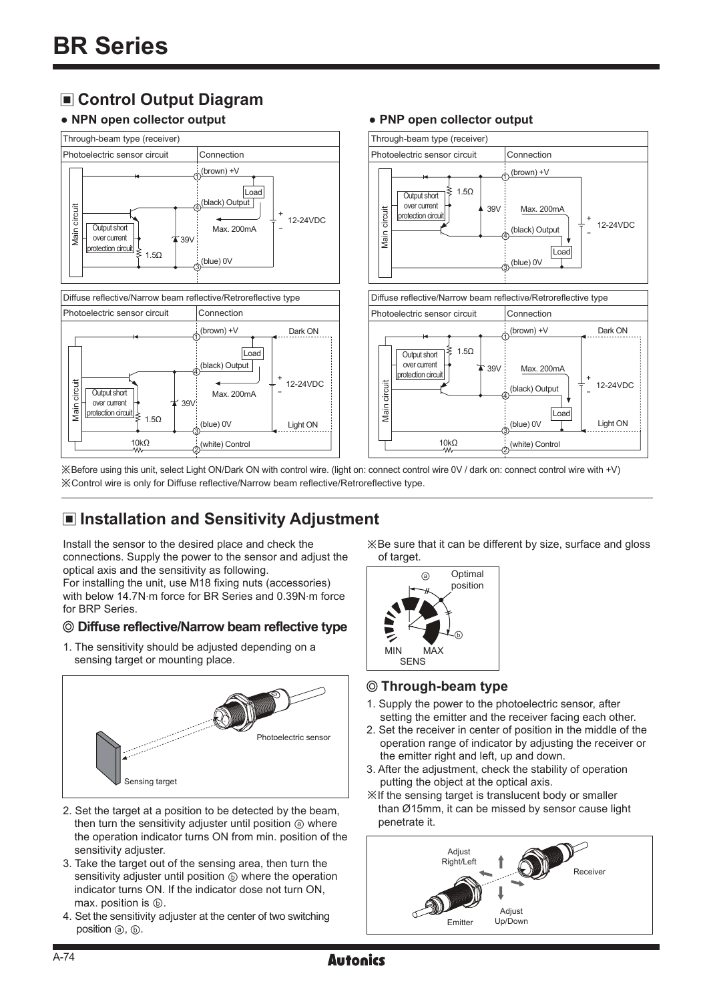## **Control Output Diagram**

### **● NPN open collector output ● PNP open collector output**



※Before using this unit, select Light ON/Dark ON with control wire. (light on: connect control wire 0V / dark on: connect control wire with +V) ※Control wire is only for Diffuse reflective/Narrow beam reflective/Retroreflective type.

## **Installation and Sensitivity Adjustment**

Install the sensor to the desired place and check the connections. Supply the power to the sensor and adjust the optical axis and the sensitivity as following.

For installing the unit, use M18 fixing nuts (accessories) with below 14.7N.m force for BR Series and 0.39N.m force for BRP Series.

#### **Diffuse reflective/Narrow beam reflective type**

1. The sensitivity should be adjusted depending on a sensing target or mounting place.



- 2. Set the target at a position to be detected by the beam, then turn the sensitivity adjuster until position  $\circledcirc$  where the operation indicator turns ON from min. position of the sensitivity adjuster.
- 3. Take the target out of the sensing area, then turn the sensitivity adjuster until position  $\circledcirc$  where the operation indicator turns ON. If the indicator dose not turn ON, max. position is  $\circledcirc$ .
- 4. Set the sensitivity adjuster at the center of two switching position ⓐ, ⓑ.

※Be sure that it can be different by size, surface and gloss of target.

+ -

+ -

Light ON

12-24VDC

Dark ON

12-24VDC



#### **Through-beam type**

- 1. Supply the power to the photoelectric sensor, after setting the emitter and the receiver facing each other.
- 2. Set the receiver in center of position in the middle of the operation range of indicator by adjusting the receiver or the emitter right and left, up and down.
- 3. After the adjustment, check the stability of operation putting the object at the optical axis.
- ※If the sensing target is translucent body or smaller than Ø15mm, it can be missed by sensor cause light penetrate it.